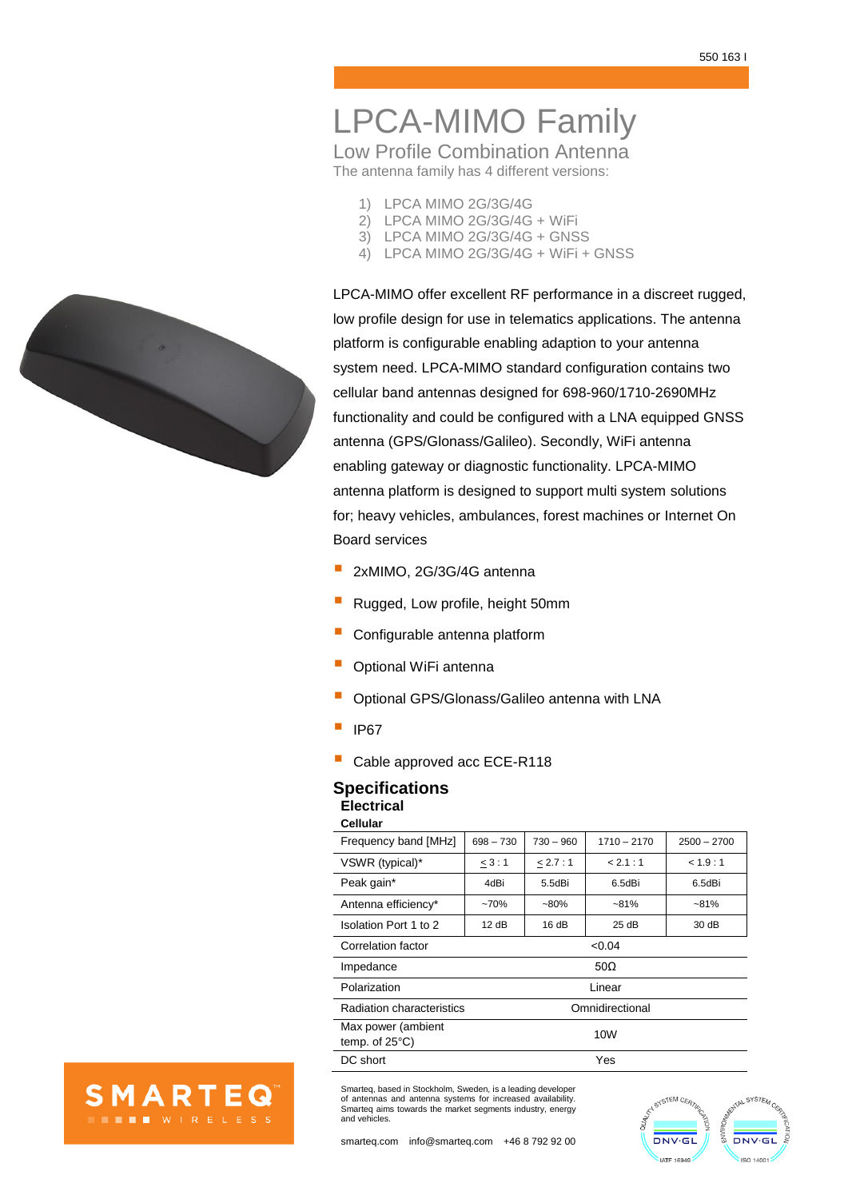# LPCA-MIMO Family

Low Profile Combination Antenna The antenna family has 4 different versions:

- 1) LPCA MIMO 2G/3G/4G
- 2) LPCA MIMO 2G/3G/4G + WiFi
- 3) LPCA MIMO 2G/3G/4G + GNSS
- 4) LPCA MIMO 2G/3G/4G + WiFi + GNSS

LPCA-MIMO offer excellent RF performance in a discreet rugged, low profile design for use in telematics applications. The antenna platform is configurable enabling adaption to your antenna system need. LPCA-MIMO standard configuration contains two cellular band antennas designed for 698-960/1710-2690MHz functionality and could be configured with a LNA equipped GNSS antenna (GPS/Glonass/Galileo). Secondly, WiFi antenna enabling gateway or diagnostic functionality. LPCA-MIMO antenna platform is designed to support multi system solutions for; heavy vehicles, ambulances, forest machines or Internet On Board services

- 2xMIMO, 2G/3G/4G antenna
- Rugged, Low profile, height 50mm
- Configurable antenna platform
- Optional WiFi antenna
- Optional GPS/Glonass/Galileo antenna with LNA
- IP67
- Cable approved acc ECE-R118

### **Specifications Electrical Cellular**

| vanuar                               |                 |             |               |               |
|--------------------------------------|-----------------|-------------|---------------|---------------|
| Frequency band [MHz]                 | $698 - 730$     | $730 - 960$ | $1710 - 2170$ | $2500 - 2700$ |
| VSWR (typical)*                      | 3:1             | < 2.7:1     | < 2.1 : 1     | < 1.9:1       |
| Peak gain*                           | 4dBi            | 5.5dBi      | 6.5dBi        | 6.5dBi        |
| Antenna efficiency*                  | $-70%$          | $-80%$      | $-81%$        | $-81%$        |
| Isolation Port 1 to 2                | 12 dB           | 16 dB       | 25 dB         | 30 dB         |
| Correlation factor                   | < 0.04          |             |               |               |
| Impedance                            | 50 $\Omega$     |             |               |               |
| Polarization                         | Linear          |             |               |               |
| Radiation characteristics            | Omnidirectional |             |               |               |
| Max power (ambient<br>temp. of 25°C) | 10W             |             |               |               |
| DC short                             | Yes             |             |               |               |

Smarteq, based in Stockholm, Sweden, is a leading developer of antennas and antenna systems for increased availability. Smarteq aims towards the market segments industry, energy and vehicles.